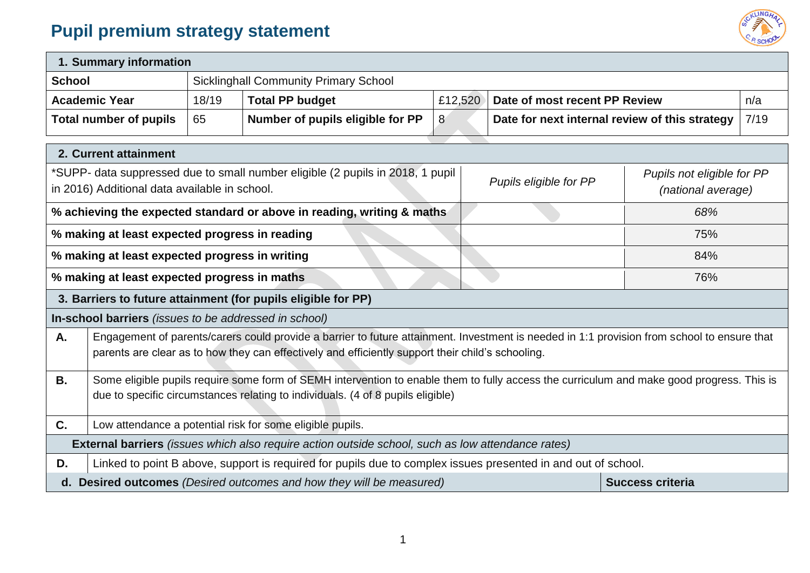## **Pupil premium strategy statement**



| 1. Summary information                                                                                                                                                                                        |                                                                                                                                                                                                                                                  |       |                                                                                                               |         |  |                               |                                                |      |  |
|---------------------------------------------------------------------------------------------------------------------------------------------------------------------------------------------------------------|--------------------------------------------------------------------------------------------------------------------------------------------------------------------------------------------------------------------------------------------------|-------|---------------------------------------------------------------------------------------------------------------|---------|--|-------------------------------|------------------------------------------------|------|--|
| <b>School</b>                                                                                                                                                                                                 |                                                                                                                                                                                                                                                  |       | <b>Sicklinghall Community Primary School</b>                                                                  |         |  |                               |                                                |      |  |
|                                                                                                                                                                                                               | <b>Academic Year</b>                                                                                                                                                                                                                             | 18/19 | <b>Total PP budget</b>                                                                                        | £12,520 |  | Date of most recent PP Review |                                                | n/a  |  |
|                                                                                                                                                                                                               | <b>Total number of pupils</b>                                                                                                                                                                                                                    | 65    | Number of pupils eligible for PP                                                                              | 8       |  |                               | Date for next internal review of this strategy | 7/19 |  |
|                                                                                                                                                                                                               | 2. Current attainment                                                                                                                                                                                                                            |       |                                                                                                               |         |  |                               |                                                |      |  |
| *SUPP- data suppressed due to small number eligible (2 pupils in 2018, 1 pupil<br>Pupils not eligible for PP<br>Pupils eligible for PP<br>in 2016) Additional data available in school.<br>(national average) |                                                                                                                                                                                                                                                  |       |                                                                                                               |         |  |                               |                                                |      |  |
|                                                                                                                                                                                                               |                                                                                                                                                                                                                                                  |       | % achieving the expected standard or above in reading, writing & maths                                        |         |  |                               | 68%                                            |      |  |
|                                                                                                                                                                                                               | % making at least expected progress in reading<br>75%                                                                                                                                                                                            |       |                                                                                                               |         |  |                               |                                                |      |  |
|                                                                                                                                                                                                               | % making at least expected progress in writing                                                                                                                                                                                                   |       |                                                                                                               |         |  |                               | 84%                                            |      |  |
|                                                                                                                                                                                                               | % making at least expected progress in maths                                                                                                                                                                                                     |       |                                                                                                               |         |  |                               | 76%                                            |      |  |
|                                                                                                                                                                                                               |                                                                                                                                                                                                                                                  |       | 3. Barriers to future attainment (for pupils eligible for PP)                                                 |         |  |                               |                                                |      |  |
|                                                                                                                                                                                                               | In-school barriers (issues to be addressed in school)                                                                                                                                                                                            |       |                                                                                                               |         |  |                               |                                                |      |  |
| А.                                                                                                                                                                                                            | Engagement of parents/carers could provide a barrier to future attainment. Investment is needed in 1:1 provision from school to ensure that<br>parents are clear as to how they can effectively and efficiently support their child's schooling. |       |                                                                                                               |         |  |                               |                                                |      |  |
| <b>B.</b>                                                                                                                                                                                                     | Some eligible pupils require some form of SEMH intervention to enable them to fully access the curriculum and make good progress. This is<br>due to specific circumstances relating to individuals. (4 of 8 pupils eligible)                     |       |                                                                                                               |         |  |                               |                                                |      |  |
| C.                                                                                                                                                                                                            |                                                                                                                                                                                                                                                  |       | Low attendance a potential risk for some eligible pupils.                                                     |         |  |                               |                                                |      |  |
|                                                                                                                                                                                                               |                                                                                                                                                                                                                                                  |       | <b>External barriers</b> (issues which also require action outside school, such as low attendance rates)      |         |  |                               |                                                |      |  |
| D.                                                                                                                                                                                                            |                                                                                                                                                                                                                                                  |       | Linked to point B above, support is required for pupils due to complex issues presented in and out of school. |         |  |                               |                                                |      |  |
|                                                                                                                                                                                                               |                                                                                                                                                                                                                                                  |       | d. Desired outcomes (Desired outcomes and how they will be measured)                                          |         |  |                               | <b>Success criteria</b>                        |      |  |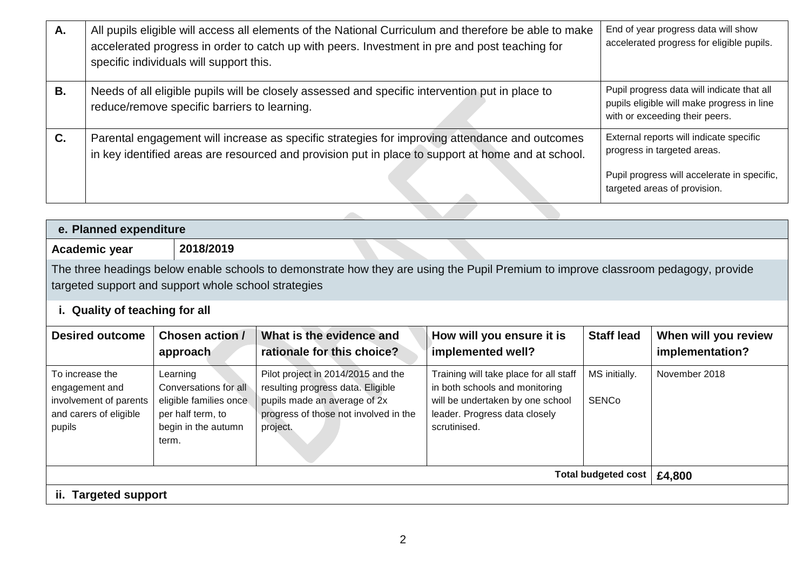| Α. | All pupils eligible will access all elements of the National Curriculum and therefore be able to make<br>accelerated progress in order to catch up with peers. Investment in pre and post teaching for<br>specific individuals will support this. | End of year progress data will show<br>accelerated progress for eligible pupils.                                                                      |
|----|---------------------------------------------------------------------------------------------------------------------------------------------------------------------------------------------------------------------------------------------------|-------------------------------------------------------------------------------------------------------------------------------------------------------|
| В. | Needs of all eligible pupils will be closely assessed and specific intervention put in place to<br>reduce/remove specific barriers to learning.                                                                                                   | Pupil progress data will indicate that all<br>pupils eligible will make progress in line<br>with or exceeding their peers.                            |
| C. | Parental engagement will increase as specific strategies for improving attendance and outcomes<br>in key identified areas are resourced and provision put in place to support at home and at school.                                              | External reports will indicate specific<br>progress in targeted areas.<br>Pupil progress will accelerate in specific,<br>targeted areas of provision. |
|    |                                                                                                                                                                                                                                                   |                                                                                                                                                       |

| e. Planned expenditure                                                                          |                                                                                                                  |                                                                                                                                                              |                                                                                                                                                               |                               |                                         |
|-------------------------------------------------------------------------------------------------|------------------------------------------------------------------------------------------------------------------|--------------------------------------------------------------------------------------------------------------------------------------------------------------|---------------------------------------------------------------------------------------------------------------------------------------------------------------|-------------------------------|-----------------------------------------|
| Academic year                                                                                   | 2018/2019                                                                                                        |                                                                                                                                                              |                                                                                                                                                               |                               |                                         |
| targeted support and support whole school strategies                                            |                                                                                                                  | The three headings below enable schools to demonstrate how they are using the Pupil Premium to improve classroom pedagogy, provide                           |                                                                                                                                                               |                               |                                         |
| i. Quality of teaching for all                                                                  |                                                                                                                  |                                                                                                                                                              |                                                                                                                                                               |                               |                                         |
| <b>Desired outcome</b>                                                                          | Chosen action /<br>approach                                                                                      | What is the evidence and<br>rationale for this choice?                                                                                                       | How will you ensure it is<br>implemented well?                                                                                                                | <b>Staff lead</b>             | When will you review<br>implementation? |
| To increase the<br>engagement and<br>involvement of parents<br>and carers of eligible<br>pupils | Learning<br>Conversations for all<br>eligible families once<br>per half term, to<br>begin in the autumn<br>term. | Pilot project in 2014/2015 and the<br>resulting progress data. Eligible<br>pupils made an average of 2x<br>progress of those not involved in the<br>project. | Training will take place for all staff<br>in both schools and monitoring<br>will be undertaken by one school<br>leader. Progress data closely<br>scrutinised. | MS initially.<br><b>SENCo</b> | November 2018                           |
|                                                                                                 |                                                                                                                  |                                                                                                                                                              |                                                                                                                                                               | <b>Total budgeted cost</b>    | £4,800                                  |
| <b>Targeted support</b><br>ii.                                                                  |                                                                                                                  |                                                                                                                                                              |                                                                                                                                                               |                               |                                         |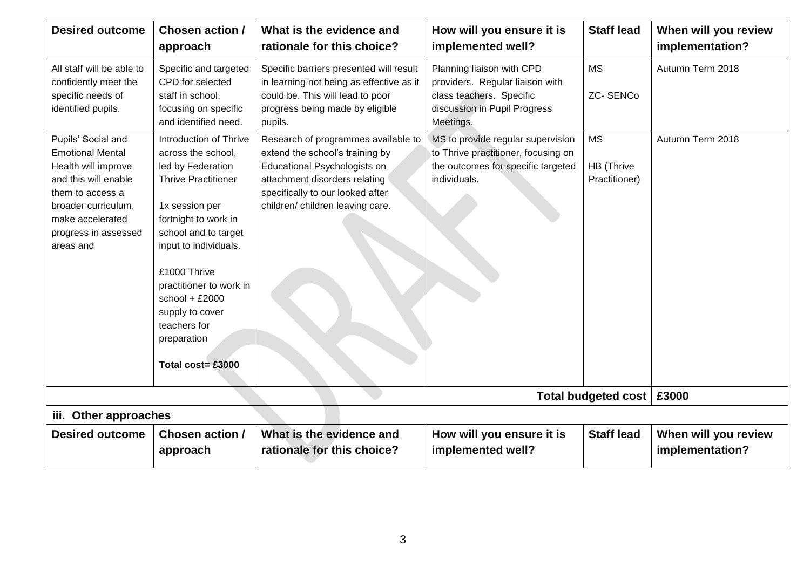| <b>Desired outcome</b>                                                                                                                                                                           | Chosen action /<br>approach                                                                                                                                                                                                                                                                                                      | What is the evidence and<br>rationale for this choice?                                                                                                                                                          | How will you ensure it is<br>implemented well?                                                                                        | <b>Staff lead</b>                        | When will you review<br>implementation? |
|--------------------------------------------------------------------------------------------------------------------------------------------------------------------------------------------------|----------------------------------------------------------------------------------------------------------------------------------------------------------------------------------------------------------------------------------------------------------------------------------------------------------------------------------|-----------------------------------------------------------------------------------------------------------------------------------------------------------------------------------------------------------------|---------------------------------------------------------------------------------------------------------------------------------------|------------------------------------------|-----------------------------------------|
| All staff will be able to<br>confidently meet the<br>specific needs of<br>identified pupils.                                                                                                     | Specific and targeted<br>CPD for selected<br>staff in school,<br>focusing on specific<br>and identified need.                                                                                                                                                                                                                    | Specific barriers presented will result<br>in learning not being as effective as it<br>could be. This will lead to poor<br>progress being made by eligible<br>pupils.                                           | Planning liaison with CPD<br>providers. Regular liaison with<br>class teachers. Specific<br>discussion in Pupil Progress<br>Meetings. | <b>MS</b><br><b>ZC-SENCo</b>             | Autumn Term 2018                        |
| Pupils' Social and<br><b>Emotional Mental</b><br>Health will improve<br>and this will enable<br>them to access a<br>broader curriculum,<br>make accelerated<br>progress in assessed<br>areas and | Introduction of Thrive<br>across the school,<br>led by Federation<br><b>Thrive Practitioner</b><br>1x session per<br>fortnight to work in<br>school and to target<br>input to individuals.<br>£1000 Thrive<br>practitioner to work in<br>school + $£2000$<br>supply to cover<br>teachers for<br>preparation<br>Total cost= £3000 | Research of programmes available to<br>extend the school's training by<br>Educational Psychologists on<br>attachment disorders relating<br>specifically to our looked after<br>children/ children leaving care. | MS to provide regular supervision<br>to Thrive practitioner, focusing on<br>the outcomes for specific targeted<br>individuals.        | <b>MS</b><br>HB (Thrive<br>Practitioner) | Autumn Term 2018                        |
|                                                                                                                                                                                                  |                                                                                                                                                                                                                                                                                                                                  |                                                                                                                                                                                                                 |                                                                                                                                       | Total budgeted cost                      | £3000                                   |
| iii. Other approaches                                                                                                                                                                            |                                                                                                                                                                                                                                                                                                                                  |                                                                                                                                                                                                                 |                                                                                                                                       |                                          |                                         |
| <b>Desired outcome</b>                                                                                                                                                                           | <b>Chosen action /</b><br>approach                                                                                                                                                                                                                                                                                               | What is the evidence and<br>rationale for this choice?                                                                                                                                                          | How will you ensure it is<br>implemented well?                                                                                        | <b>Staff lead</b>                        | When will you review<br>implementation? |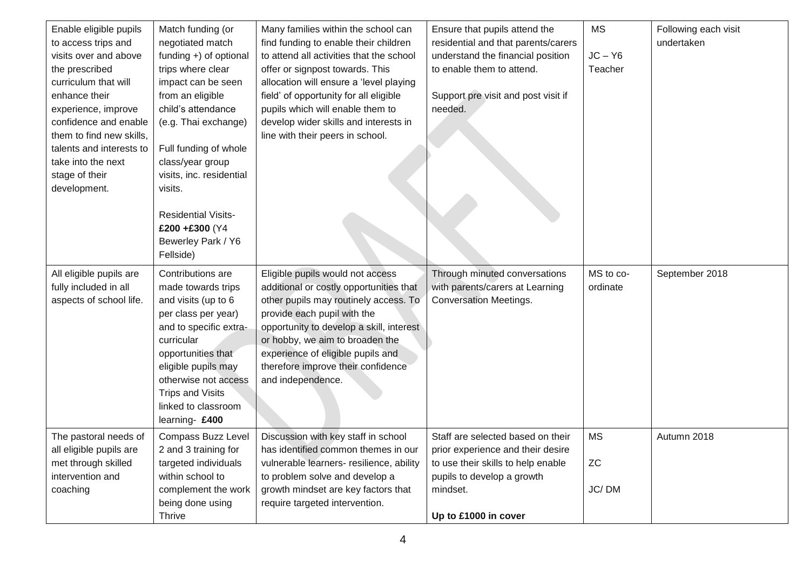| Enable eligible pupils<br>to access trips and<br>visits over and above<br>the prescribed<br>curriculum that will<br>enhance their<br>experience, improve<br>confidence and enable<br>them to find new skills,<br>talents and interests to<br>take into the next<br>stage of their<br>development. | Match funding (or<br>negotiated match<br>funding $+$ ) of optional<br>trips where clear<br>impact can be seen<br>from an eligible<br>child's attendance<br>(e.g. Thai exchange)<br>Full funding of whole<br>class/year group<br>visits, inc. residential<br>visits.<br><b>Residential Visits-</b><br>£200+£300 (Y4<br>Bewerley Park / Y6<br>Fellside) | Many families within the school can<br>find funding to enable their children<br>to attend all activities that the school<br>offer or signpost towards. This<br>allocation will ensure a 'level playing<br>field' of opportunity for all eligible<br>pupils which will enable them to<br>develop wider skills and interests in<br>line with their peers in school. | Ensure that pupils attend the<br>residential and that parents/carers<br>understand the financial position<br>to enable them to attend.<br>Support pre visit and post visit if<br>needed. | <b>MS</b><br>$JC - Y6$<br>Teacher | Following each visit<br>undertaken |
|---------------------------------------------------------------------------------------------------------------------------------------------------------------------------------------------------------------------------------------------------------------------------------------------------|-------------------------------------------------------------------------------------------------------------------------------------------------------------------------------------------------------------------------------------------------------------------------------------------------------------------------------------------------------|-------------------------------------------------------------------------------------------------------------------------------------------------------------------------------------------------------------------------------------------------------------------------------------------------------------------------------------------------------------------|------------------------------------------------------------------------------------------------------------------------------------------------------------------------------------------|-----------------------------------|------------------------------------|
| All eligible pupils are<br>fully included in all<br>aspects of school life.                                                                                                                                                                                                                       | Contributions are<br>made towards trips<br>and visits (up to 6<br>per class per year)<br>and to specific extra-<br>curricular<br>opportunities that<br>eligible pupils may<br>otherwise not access<br><b>Trips and Visits</b><br>linked to classroom<br>learning- £400                                                                                | Eligible pupils would not access<br>additional or costly opportunities that<br>other pupils may routinely access. To<br>provide each pupil with the<br>opportunity to develop a skill, interest<br>or hobby, we aim to broaden the<br>experience of eligible pupils and<br>therefore improve their confidence<br>and independence.                                | Through minuted conversations<br>with parents/carers at Learning<br><b>Conversation Meetings.</b>                                                                                        | MS to co-<br>ordinate             | September 2018                     |
| The pastoral needs of<br>all eligible pupils are<br>met through skilled<br>intervention and<br>coaching                                                                                                                                                                                           | Compass Buzz Level<br>2 and 3 training for<br>targeted individuals<br>within school to<br>complement the work<br>being done using<br>Thrive                                                                                                                                                                                                           | Discussion with key staff in school<br>has identified common themes in our<br>vulnerable learners- resilience, ability<br>to problem solve and develop a<br>growth mindset are key factors that<br>require targeted intervention.                                                                                                                                 | Staff are selected based on their<br>prior experience and their desire<br>to use their skills to help enable<br>pupils to develop a growth<br>mindset.<br>Up to £1000 in cover           | <b>MS</b><br>${\sf ZC}$<br>JC/DM  | Autumn 2018                        |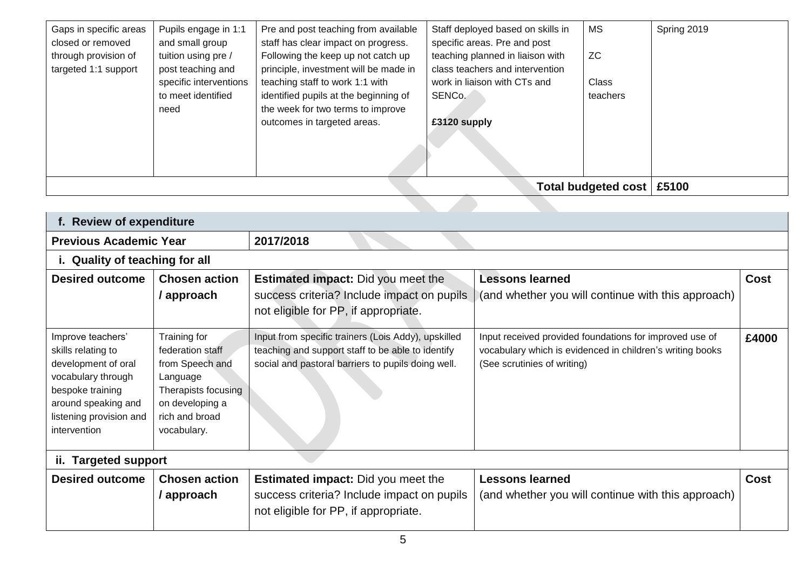| Gaps in specific areas | Pupils engage in 1:1   | Pre and post teaching from available  | Staff deployed based on skills in | <b>MS</b>           | Spring 2019 |
|------------------------|------------------------|---------------------------------------|-----------------------------------|---------------------|-------------|
| closed or removed      | and small group        | staff has clear impact on progress.   | specific areas. Pre and post      |                     |             |
| through provision of   | tuition using pre /    | Following the keep up not catch up    | teaching planned in liaison with  | ZC.                 |             |
| targeted 1:1 support   | post teaching and      | principle, investment will be made in | class teachers and intervention   |                     |             |
|                        | specific interventions | teaching staff to work 1:1 with       | work in liaison with CTs and      | <b>Class</b>        |             |
|                        | to meet identified     | identified pupils at the beginning of | SENCo.                            | teachers            |             |
|                        | need                   | the week for two terms to improve     |                                   |                     |             |
|                        |                        | outcomes in targeted areas.           | £3120 supply                      |                     |             |
|                        |                        |                                       |                                   |                     |             |
|                        |                        |                                       |                                   |                     |             |
|                        |                        |                                       |                                   |                     |             |
|                        |                        |                                       |                                   |                     |             |
|                        |                        |                                       |                                   | Total budgeted cost | £5100       |

| f. Review of expenditure                                                                                                                                                   |                                                                                                                                            |                                                                                                                                                                |                                                                                                                                                     |             |  |  |  |  |
|----------------------------------------------------------------------------------------------------------------------------------------------------------------------------|--------------------------------------------------------------------------------------------------------------------------------------------|----------------------------------------------------------------------------------------------------------------------------------------------------------------|-----------------------------------------------------------------------------------------------------------------------------------------------------|-------------|--|--|--|--|
| <b>Previous Academic Year</b>                                                                                                                                              |                                                                                                                                            | 2017/2018                                                                                                                                                      |                                                                                                                                                     |             |  |  |  |  |
|                                                                                                                                                                            | i. Quality of teaching for all                                                                                                             |                                                                                                                                                                |                                                                                                                                                     |             |  |  |  |  |
| <b>Desired outcome</b>                                                                                                                                                     | <b>Chosen action</b><br>/ approach                                                                                                         | <b>Estimated impact:</b> Did you meet the<br>success criteria? Include impact on pupils<br>not eligible for PP, if appropriate.                                | <b>Lessons learned</b><br>(and whether you will continue with this approach)                                                                        | <b>Cost</b> |  |  |  |  |
| Improve teachers'<br>skills relating to<br>development of oral<br>vocabulary through<br>bespoke training<br>around speaking and<br>listening provision and<br>intervention | Training for<br>federation staff<br>from Speech and<br>Language<br>Therapists focusing<br>on developing a<br>rich and broad<br>vocabulary. | Input from specific trainers (Lois Addy), upskilled<br>teaching and support staff to be able to identify<br>social and pastoral barriers to pupils doing well. | Input received provided foundations for improved use of<br>vocabulary which is evidenced in children's writing books<br>(See scrutinies of writing) | £4000       |  |  |  |  |
| <b>Targeted support</b><br>ii.                                                                                                                                             |                                                                                                                                            |                                                                                                                                                                |                                                                                                                                                     |             |  |  |  |  |
| <b>Desired outcome</b>                                                                                                                                                     | <b>Chosen action</b><br>/ approach                                                                                                         | <b>Estimated impact:</b> Did you meet the<br>success criteria? Include impact on pupils<br>not eligible for PP, if appropriate.                                | <b>Lessons learned</b><br>(and whether you will continue with this approach)                                                                        | <b>Cost</b> |  |  |  |  |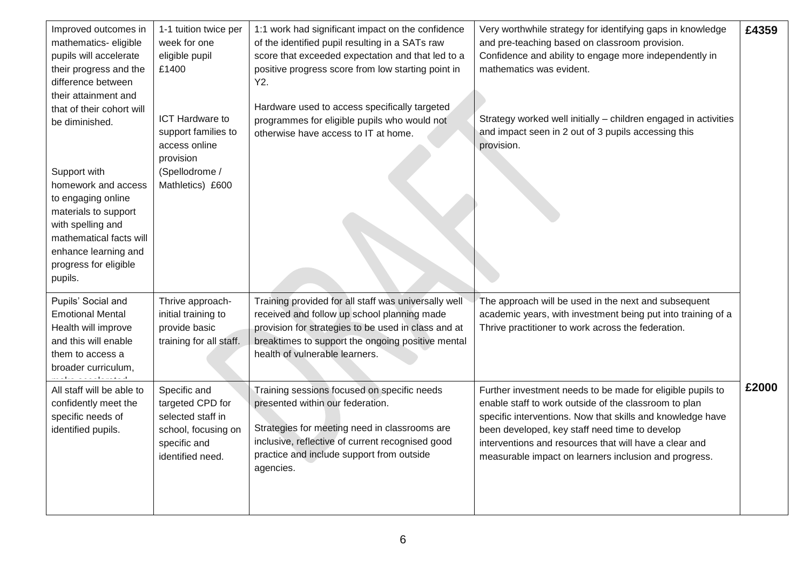| Improved outcomes in<br>mathematics-eligible<br>pupils will accelerate<br>their progress and the<br>difference between<br>their attainment and<br>that of their cohort will<br>be diminished.<br>Support with | 1-1 tuition twice per<br>week for one<br>eligible pupil<br>£1400<br>ICT Hardware to<br>support families to<br>access online<br>provision<br>(Spellodrome / | 1:1 work had significant impact on the confidence<br>of the identified pupil resulting in a SATs raw<br>score that exceeded expectation and that led to a<br>positive progress score from low starting point in<br>Y2.<br>Hardware used to access specifically targeted<br>programmes for eligible pupils who would not<br>otherwise have access to IT at home. | Very worthwhile strategy for identifying gaps in knowledge<br>and pre-teaching based on classroom provision.<br>Confidence and ability to engage more independently in<br>mathematics was evident.<br>Strategy worked well initially - children engaged in activities<br>and impact seen in 2 out of 3 pupils accessing this<br>provision.             | £4359 |
|---------------------------------------------------------------------------------------------------------------------------------------------------------------------------------------------------------------|------------------------------------------------------------------------------------------------------------------------------------------------------------|-----------------------------------------------------------------------------------------------------------------------------------------------------------------------------------------------------------------------------------------------------------------------------------------------------------------------------------------------------------------|--------------------------------------------------------------------------------------------------------------------------------------------------------------------------------------------------------------------------------------------------------------------------------------------------------------------------------------------------------|-------|
| homework and access<br>to engaging online<br>materials to support<br>with spelling and<br>mathematical facts will<br>enhance learning and<br>progress for eligible<br>pupils.                                 | Mathletics) £600                                                                                                                                           |                                                                                                                                                                                                                                                                                                                                                                 |                                                                                                                                                                                                                                                                                                                                                        |       |
| Pupils' Social and<br><b>Emotional Mental</b><br>Health will improve<br>and this will enable<br>them to access a<br>broader curriculum,                                                                       | Thrive approach-<br>initial training to<br>provide basic<br>training for all staff.                                                                        | Training provided for all staff was universally well<br>received and follow up school planning made<br>provision for strategies to be used in class and at<br>breaktimes to support the ongoing positive mental<br>health of vulnerable learners.                                                                                                               | The approach will be used in the next and subsequent<br>academic years, with investment being put into training of a<br>Thrive practitioner to work across the federation.                                                                                                                                                                             |       |
| All staff will be able to<br>confidently meet the<br>specific needs of<br>identified pupils.                                                                                                                  | Specific and<br>targeted CPD for<br>selected staff in<br>school, focusing on<br>specific and<br>identified need.                                           | Training sessions focused on specific needs<br>presented within our federation.<br>Strategies for meeting need in classrooms are<br>inclusive, reflective of current recognised good<br>practice and include support from outside<br>agencies.                                                                                                                  | Further investment needs to be made for eligible pupils to<br>enable staff to work outside of the classroom to plan<br>specific interventions. Now that skills and knowledge have<br>been developed, key staff need time to develop<br>interventions and resources that will have a clear and<br>measurable impact on learners inclusion and progress. | £2000 |